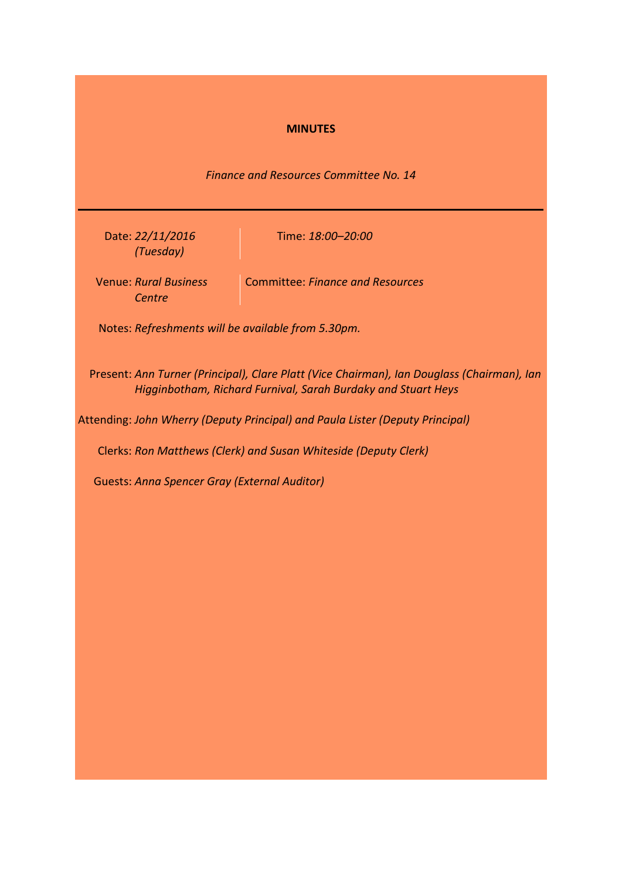## **MINUTES**

*Finance and Resources Committee No. 14*

Date: *22/11/2016 (Tuesday)*

Time: *18:00–20:00*

Venue: *Rural Business*  Committee: *Finance and Resources Centre*

Notes: *Refreshments will be available from 5.30pm.*

Present: *Ann Turner (Principal), Clare Platt (Vice Chairman), Ian Douglass (Chairman), Ian Higginbotham, Richard Furnival, Sarah Burdaky and Stuart Heys*

Attending: *John Wherry (Deputy Principal) and Paula Lister (Deputy Principal)*

Clerks: *Ron Matthews (Clerk) and Susan Whiteside (Deputy Clerk)*

Guests: *Anna Spencer Gray (External Auditor)*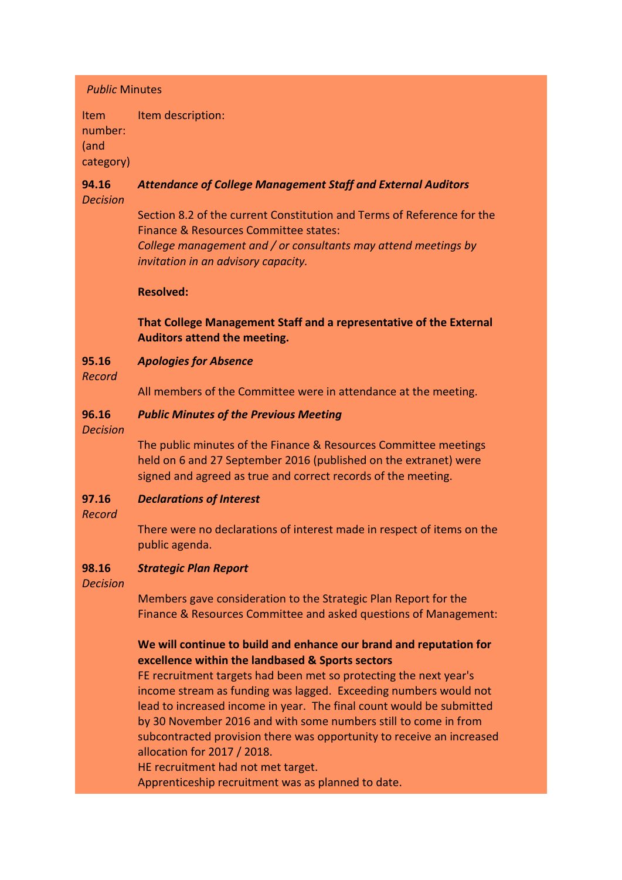## *Public* Minutes

Item number: (and category) Item description:

### **94.16** *Decision Attendance of College Management Staff and External Auditors*

Section 8.2 of the current Constitution and Terms of Reference for the Finance & Resources Committee states:

*College management and / or consultants may attend meetings by invitation in an advisory capacity.*

# **Resolved:**

# **That College Management Staff and a representative of the External Auditors attend the meeting.**

#### **95.16** *Apologies for Absence*

*Record*

All members of the Committee were in attendance at the meeting.

#### **96.16** *Public Minutes of the Previous Meeting*

*Decision*

The public minutes of the Finance & Resources Committee meetings held on 6 and 27 September 2016 (published on the extranet) were signed and agreed as true and correct records of the meeting.

#### **97.16** *Declarations of Interest*

*Record*

There were no declarations of interest made in respect of items on the public agenda.

#### **98.16** *Strategic Plan Report*

## *Decision*

Members gave consideration to the Strategic Plan Report for the Finance & Resources Committee and asked questions of Management:

# **We will continue to build and enhance our brand and reputation for excellence within the landbased & Sports sectors**

FE recruitment targets had been met so protecting the next year's income stream as funding was lagged. Exceeding numbers would not lead to increased income in year. The final count would be submitted by 30 November 2016 and with some numbers still to come in from subcontracted provision there was opportunity to receive an increased allocation for 2017 / 2018.

HE recruitment had not met target.

Apprenticeship recruitment was as planned to date.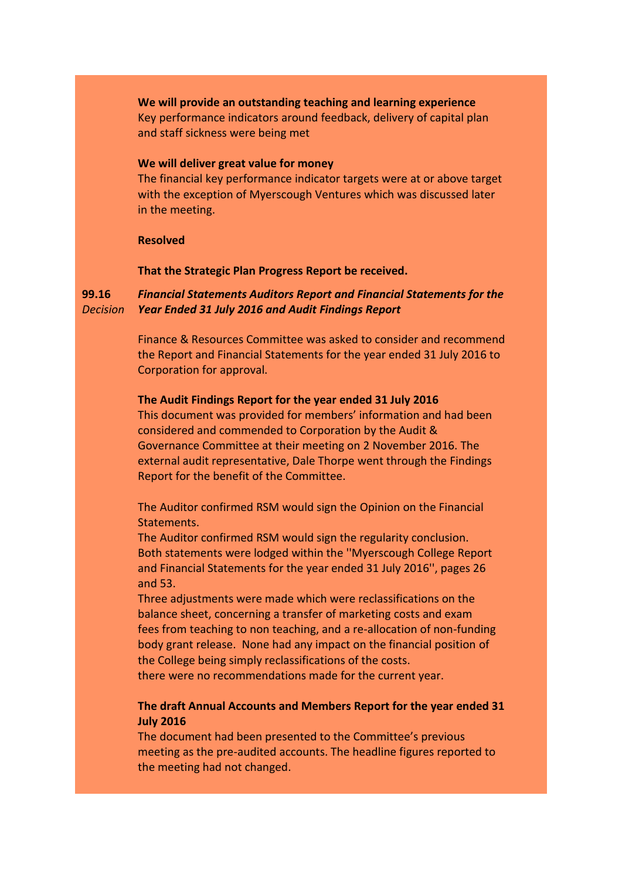**We will provide an outstanding teaching and learning experience** Key performance indicators around feedback, delivery of capital plan and staff sickness were being met

## **We will deliver great value for money**

The financial key performance indicator targets were at or above target with the exception of Myerscough Ventures which was discussed later in the meeting.

### **Resolved**

# **That the Strategic Plan Progress Report be received.**

#### **99.16** *Decision Financial Statements Auditors Report and Financial Statements for the Year Ended 31 July 2016 and Audit Findings Report*

Finance & Resources Committee was asked to consider and recommend the Report and Financial Statements for the year ended 31 July 2016 to Corporation for approval.

## **The Audit Findings Report for the year ended 31 July 2016**

This document was provided for members' information and had been considered and commended to Corporation by the Audit & Governance Committee at their meeting on 2 November 2016. The external audit representative, Dale Thorpe went through the Findings Report for the benefit of the Committee.

The Auditor confirmed RSM would sign the Opinion on the Financial Statements.

The Auditor confirmed RSM would sign the regularity conclusion. Both statements were lodged within the ''Myerscough College Report and Financial Statements for the year ended 31 July 2016'', pages 26 and 53.

Three adjustments were made which were reclassifications on the balance sheet, concerning a transfer of marketing costs and exam fees from teaching to non teaching, and a re-allocation of non-funding body grant release. None had any impact on the financial position of the College being simply reclassifications of the costs.

there were no recommendations made for the current year.

# **The draft Annual Accounts and Members Report for the year ended 31 July 2016**

The document had been presented to the Committee's previous meeting as the pre-audited accounts. The headline figures reported to the meeting had not changed.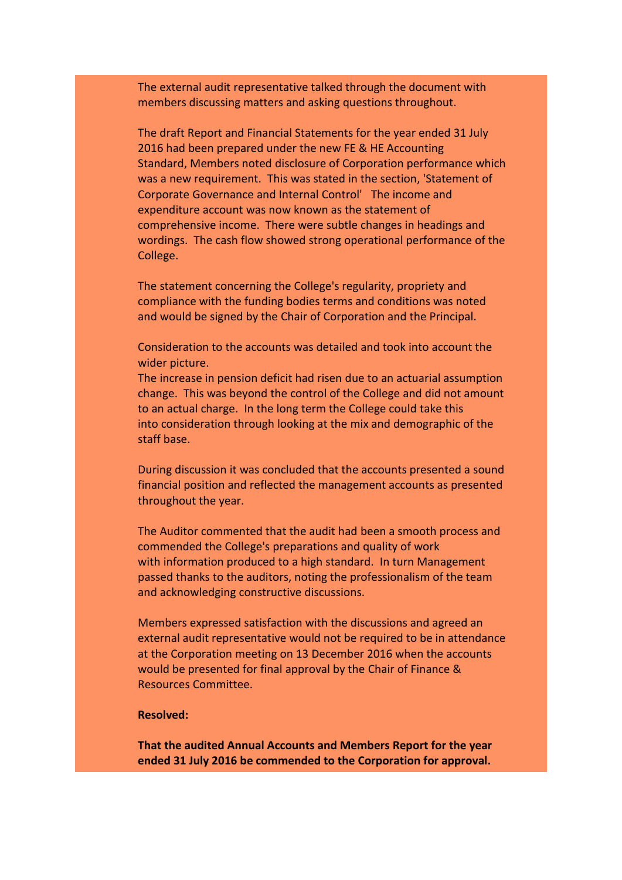The external audit representative talked through the document with members discussing matters and asking questions throughout.

The draft Report and Financial Statements for the year ended 31 July 2016 had been prepared under the new FE & HE Accounting Standard, Members noted disclosure of Corporation performance which was a new requirement. This was stated in the section, 'Statement of Corporate Governance and Internal Control' The income and expenditure account was now known as the statement of comprehensive income. There were subtle changes in headings and wordings. The cash flow showed strong operational performance of the College.

The statement concerning the College's regularity, propriety and compliance with the funding bodies terms and conditions was noted and would be signed by the Chair of Corporation and the Principal.

Consideration to the accounts was detailed and took into account the wider picture.

The increase in pension deficit had risen due to an actuarial assumption change. This was beyond the control of the College and did not amount to an actual charge. In the long term the College could take this into consideration through looking at the mix and demographic of the staff base.

During discussion it was concluded that the accounts presented a sound financial position and reflected the management accounts as presented throughout the year.

The Auditor commented that the audit had been a smooth process and commended the College's preparations and quality of work with information produced to a high standard. In turn Management passed thanks to the auditors, noting the professionalism of the team and acknowledging constructive discussions.

Members expressed satisfaction with the discussions and agreed an external audit representative would not be required to be in attendance at the Corporation meeting on 13 December 2016 when the accounts would be presented for final approval by the Chair of Finance & Resources Committee.

## **Resolved:**

**That the audited Annual Accounts and Members Report for the year ended 31 July 2016 be commended to the Corporation for approval.**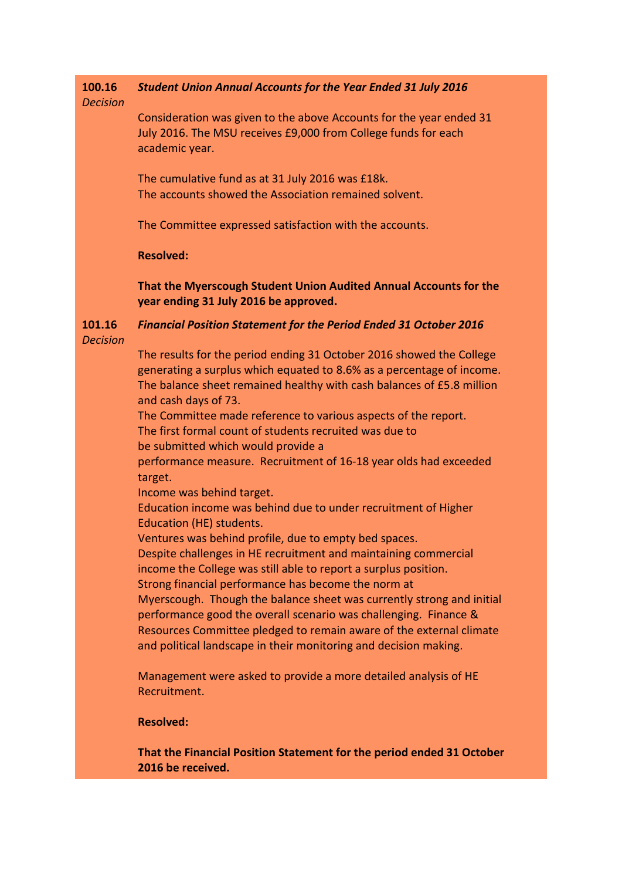#### **100.16** *Student Union Annual Accounts for the Year Ended 31 July 2016*

# *Decision*

Consideration was given to the above Accounts for the year ended 31 July 2016. The MSU receives £9,000 from College funds for each academic year.

The cumulative fund as at 31 July 2016 was £18k. The accounts showed the Association remained solvent.

The Committee expressed satisfaction with the accounts.

# **Resolved:**

**That the Myerscough Student Union Audited Annual Accounts for the year ending 31 July 2016 be approved.**

### **101.16** *Decision Financial Position Statement for the Period Ended 31 October 2016*

The results for the period ending 31 October 2016 showed the College generating a surplus which equated to 8.6% as a percentage of income. The balance sheet remained healthy with cash balances of £5.8 million and cash days of 73.

The Committee made reference to various aspects of the report. The first formal count of students recruited was due to

be submitted which would provide a performance measure. Recruitment of 16-18 year olds had exceeded

target.

Income was behind target.

Education income was behind due to under recruitment of Higher Education (HE) students.

Ventures was behind profile, due to empty bed spaces.

Despite challenges in HE recruitment and maintaining commercial income the College was still able to report a surplus position.

Strong financial performance has become the norm at

Myerscough. Though the balance sheet was currently strong and initial performance good the overall scenario was challenging. Finance & Resources Committee pledged to remain aware of the external climate and political landscape in their monitoring and decision making.

Management were asked to provide a more detailed analysis of HE Recruitment.

# **Resolved:**

**That the Financial Position Statement for the period ended 31 October 2016 be received.**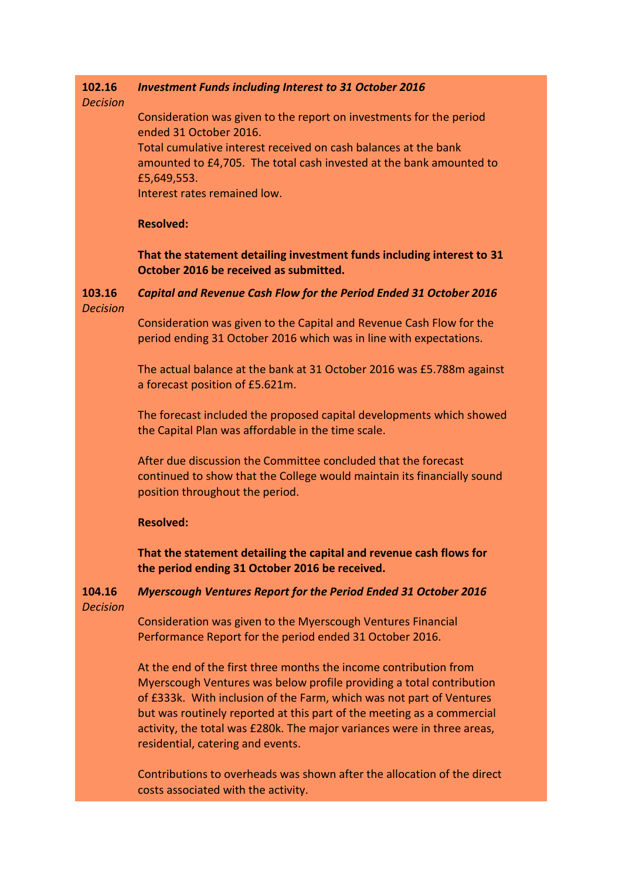#### **102.16** *Investment Funds including Interest to 31 October 2016*

## *Decision*

Consideration was given to the report on investments for the period ended 31 October 2016.

Total cumulative interest received on cash balances at the bank amounted to £4,705. The total cash invested at the bank amounted to £5,649,553.

Interest rates remained low.

## **Resolved:**

**That the statement detailing investment funds including interest to 31 October 2016 be received as submitted.**

#### **103.16** *Decision Capital and Revenue Cash Flow for the Period Ended 31 October 2016*

Consideration was given to the Capital and Revenue Cash Flow for the period ending 31 October 2016 which was in line with expectations.

The actual balance at the bank at 31 October 2016 was £5.788m against a forecast position of £5.621m.

The forecast included the proposed capital developments which showed the Capital Plan was affordable in the time scale.

After due discussion the Committee concluded that the forecast continued to show that the College would maintain its financially sound position throughout the period.

## **Resolved:**

**That the statement detailing the capital and revenue cash flows for the period ending 31 October 2016 be received.**

### **104.16** *Decision Myerscough Ventures Report for the Period Ended 31 October 2016*

Consideration was given to the Myerscough Ventures Financial Performance Report for the period ended 31 October 2016.

At the end of the first three months the income contribution from Myerscough Ventures was below profile providing a total contribution of £333k. With inclusion of the Farm, which was not part of Ventures but was routinely reported at this part of the meeting as a commercial activity, the total was £280k. The major variances were in three areas, residential, catering and events.

Contributions to overheads was shown after the allocation of the direct costs associated with the activity.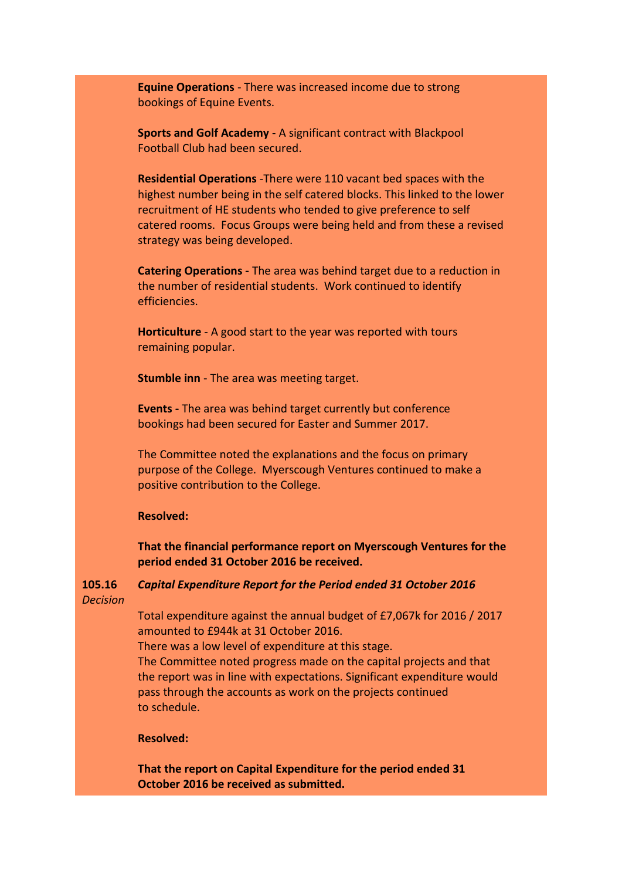**Equine Operations** - There was increased income due to strong bookings of Equine Events.

**Sports and Golf Academy** - A significant contract with Blackpool Football Club had been secured.

**Residential Operations** -There were 110 vacant bed spaces with the highest number being in the self catered blocks. This linked to the lower recruitment of HE students who tended to give preference to self catered rooms. Focus Groups were being held and from these a revised strategy was being developed.

**Catering Operations -** The area was behind target due to a reduction in the number of residential students. Work continued to identify efficiencies.

**Horticulture** - A good start to the year was reported with tours remaining popular.

**Stumble inn** - The area was meeting target.

**Events -** The area was behind target currently but conference bookings had been secured for Easter and Summer 2017.

The Committee noted the explanations and the focus on primary purpose of the College. Myerscough Ventures continued to make a positive contribution to the College.

## **Resolved:**

**That the financial performance report on Myerscough Ventures for the period ended 31 October 2016 be received.**

**105.16** *Decision Capital Expenditure Report for the Period ended 31 October 2016*

> Total expenditure against the annual budget of £7,067k for 2016 / 2017 amounted to £944k at 31 October 2016.

There was a low level of expenditure at this stage.

The Committee noted progress made on the capital projects and that the report was in line with expectations. Significant expenditure would pass through the accounts as work on the projects continued to schedule.

## **Resolved:**

**That the report on Capital Expenditure for the period ended 31 October 2016 be received as submitted.**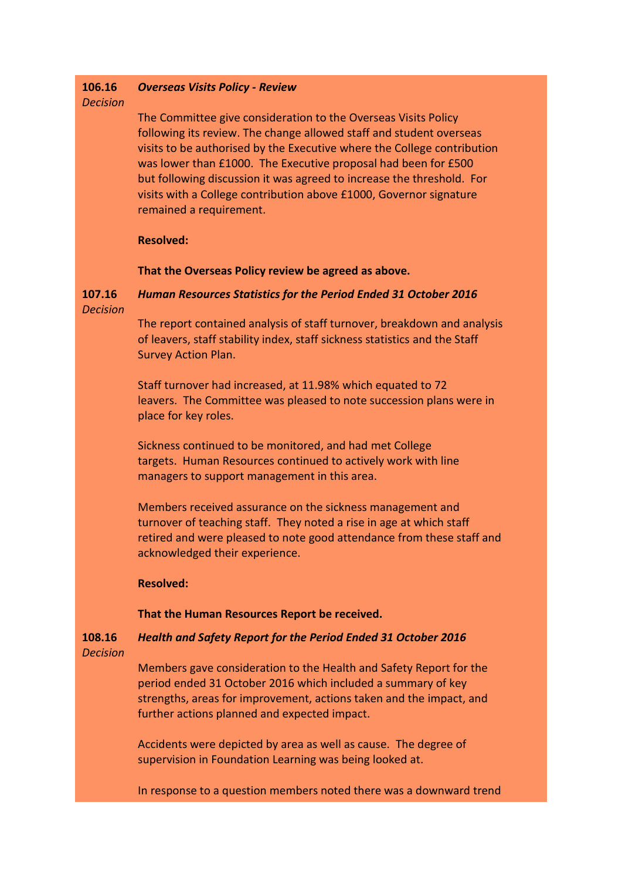#### **106.16** *Overseas Visits Policy - Review*

# *Decision*

The Committee give consideration to the Overseas Visits Policy following its review. The change allowed staff and student overseas visits to be authorised by the Executive where the College contribution was lower than £1000. The Executive proposal had been for £500 but following discussion it was agreed to increase the threshold. For visits with a College contribution above £1000, Governor signature remained a requirement.

# **Resolved:**

## **That the Overseas Policy review be agreed as above.**

### **107.16** *Decision Human Resources Statistics for the Period Ended 31 October 2016*

The report contained analysis of staff turnover, breakdown and analysis of leavers, staff stability index, staff sickness statistics and the Staff Survey Action Plan.

Staff turnover had increased, at 11.98% which equated to 72 leavers. The Committee was pleased to note succession plans were in place for key roles.

Sickness continued to be monitored, and had met College targets. Human Resources continued to actively work with line managers to support management in this area.

Members received assurance on the sickness management and turnover of teaching staff. They noted a rise in age at which staff retired and were pleased to note good attendance from these staff and acknowledged their experience.

## **Resolved:**

## **That the Human Resources Report be received.**

### **108.16** *Decision Health and Safety Report for the Period Ended 31 October 2016*

Members gave consideration to the Health and Safety Report for the period ended 31 October 2016 which included a summary of key strengths, areas for improvement, actions taken and the impact, and further actions planned and expected impact.

Accidents were depicted by area as well as cause. The degree of supervision in Foundation Learning was being looked at.

In response to a question members noted there was a downward trend